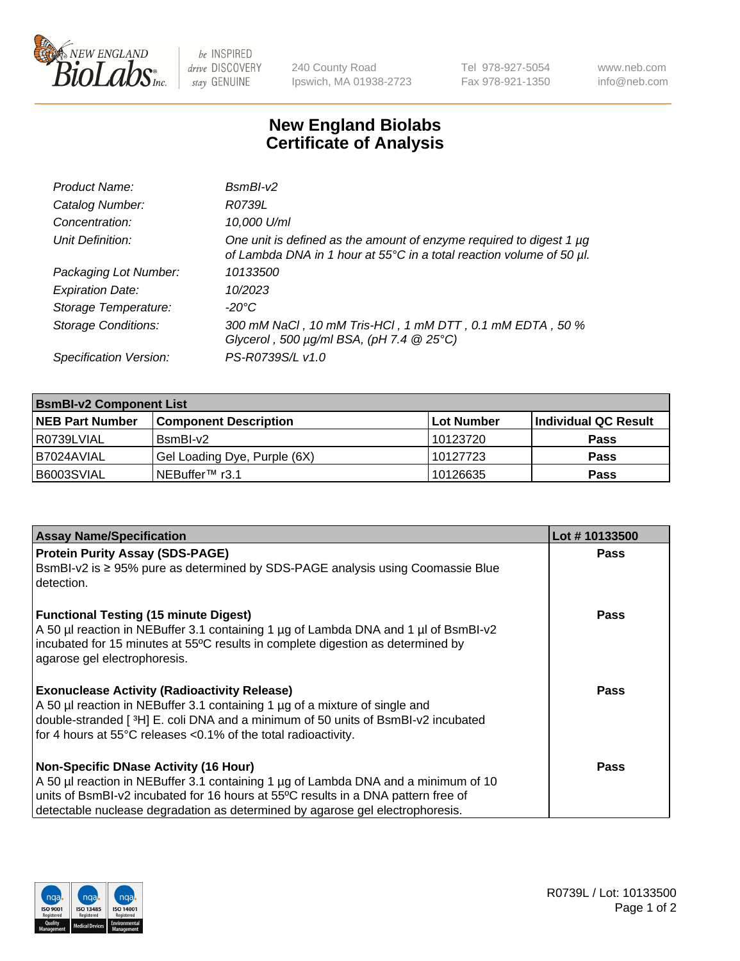

 $be$  INSPIRED drive DISCOVERY stay GENUINE

240 County Road Ipswich, MA 01938-2723 Tel 978-927-5054 Fax 978-921-1350 www.neb.com info@neb.com

## **New England Biolabs Certificate of Analysis**

| Product Name:              | $BsmBI-v2$                                                                                                                                  |
|----------------------------|---------------------------------------------------------------------------------------------------------------------------------------------|
| Catalog Number:            | R0739L                                                                                                                                      |
| Concentration:             | 10,000 U/ml                                                                                                                                 |
| Unit Definition:           | One unit is defined as the amount of enzyme required to digest 1 µg<br>of Lambda DNA in 1 hour at 55°C in a total reaction volume of 50 µl. |
| Packaging Lot Number:      | 10133500                                                                                                                                    |
| <b>Expiration Date:</b>    | 10/2023                                                                                                                                     |
| Storage Temperature:       | $-20^{\circ}$ C                                                                                                                             |
| <b>Storage Conditions:</b> | 300 mM NaCl, 10 mM Tris-HCl, 1 mM DTT, 0.1 mM EDTA, 50 %<br>Glycerol, 500 $\mu$ g/ml BSA, (pH 7.4 $@25°C$ )                                 |
| Specification Version:     | PS-R0739S/L v1.0                                                                                                                            |

| <b>BsmBI-v2 Component List</b> |                              |                   |                      |  |  |
|--------------------------------|------------------------------|-------------------|----------------------|--|--|
| <b>NEB Part Number</b>         | <b>Component Description</b> | <b>Lot Number</b> | Individual QC Result |  |  |
| I R0739LVIAL                   | BsmBI-v2                     | 10123720          | <b>Pass</b>          |  |  |
| B7024AVIAL                     | Gel Loading Dye, Purple (6X) | 10127723          | <b>Pass</b>          |  |  |
| B6003SVIAL                     | INEBuffer™ r3.1              | 10126635          | <b>Pass</b>          |  |  |

| <b>Assay Name/Specification</b>                                                                                                                                                                                                                        | Lot #10133500 |
|--------------------------------------------------------------------------------------------------------------------------------------------------------------------------------------------------------------------------------------------------------|---------------|
| <b>Protein Purity Assay (SDS-PAGE)</b>                                                                                                                                                                                                                 | <b>Pass</b>   |
| BsmBI-v2 is ≥ 95% pure as determined by SDS-PAGE analysis using Coomassie Blue<br>I detection.                                                                                                                                                         |               |
| <b>Functional Testing (15 minute Digest)</b><br>A 50 µl reaction in NEBuffer 3.1 containing 1 µg of Lambda DNA and 1 µl of BsmBI-v2<br>incubated for 15 minutes at 55°C results in complete digestion as determined by<br>agarose gel electrophoresis. | Pass          |
| <b>Exonuclease Activity (Radioactivity Release)</b>                                                                                                                                                                                                    | Pass          |
| A 50 µl reaction in NEBuffer 3.1 containing 1 µg of a mixture of single and<br>double-stranded [ <sup>3</sup> H] E. coli DNA and a minimum of 50 units of BsmBI-v2 incubated                                                                           |               |
| for 4 hours at 55°C releases <0.1% of the total radioactivity.                                                                                                                                                                                         |               |
| Non-Specific DNase Activity (16 Hour)                                                                                                                                                                                                                  | <b>Pass</b>   |
| A 50 µl reaction in NEBuffer 3.1 containing 1 µg of Lambda DNA and a minimum of 10                                                                                                                                                                     |               |
| units of BsmBI-v2 incubated for 16 hours at 55°C results in a DNA pattern free of                                                                                                                                                                      |               |
| detectable nuclease degradation as determined by agarose gel electrophoresis.                                                                                                                                                                          |               |